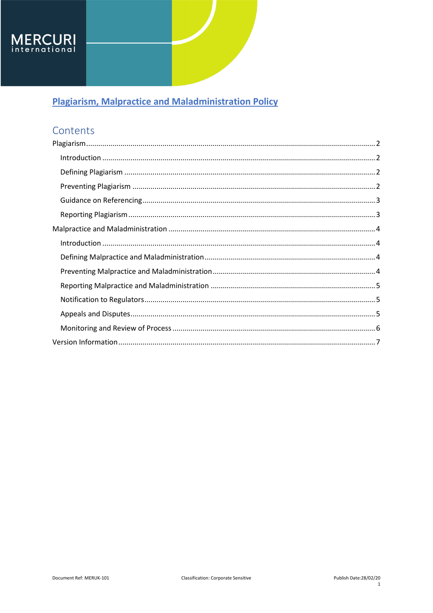

# Contents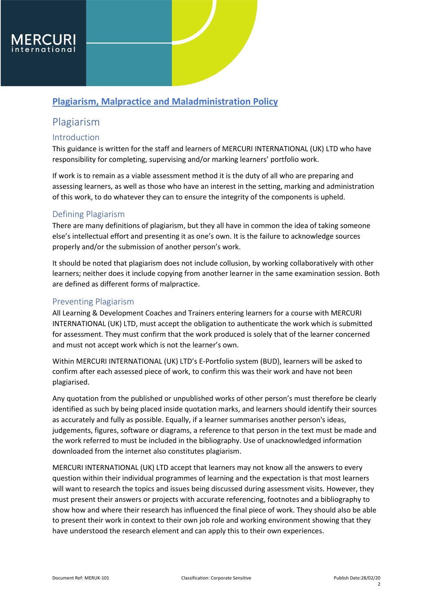

## <span id="page-1-0"></span>Plagiarism

#### <span id="page-1-1"></span>Introduction

This guidance is written for the staff and learners of MERCURI INTERNATIONAL (UK) LTD who have responsibility for completing, supervising and/or marking learners' portfolio work.

If work is to remain as a viable assessment method it is the duty of all who are preparing and assessing learners, as well as those who have an interest in the setting, marking and administration of this work, to do whatever they can to ensure the integrity of the components is upheld.

#### <span id="page-1-2"></span>Defining Plagiarism

There are many definitions of plagiarism, but they all have in common the idea of taking someone else's intellectual effort and presenting it as one's own. It is the failure to acknowledge sources properly and/or the submission of another person's work.

It should be noted that plagiarism does not include collusion, by working collaboratively with other learners; neither does it include copying from another learner in the same examination session. Both are defined as different forms of malpractice.

#### <span id="page-1-3"></span>Preventing Plagiarism

All Learning & Development Coaches and Trainers entering learners for a course with MERCURI INTERNATIONAL (UK) LTD, must accept the obligation to authenticate the work which is submitted for assessment. They must confirm that the work produced is solely that of the learner concerned and must not accept work which is not the learner's own.

Within MERCURI INTERNATIONAL (UK) LTD's E-Portfolio system (BUD), learners will be asked to confirm after each assessed piece of work, to confirm this was their work and have not been plagiarised.

Any quotation from the published or unpublished works of other person's must therefore be clearly identified as such by being placed inside quotation marks, and learners should identify their sources as accurately and fully as possible. Equally, if a learner summarises another person's ideas, judgements, figures, software or diagrams, a reference to that person in the text must be made and the work referred to must be included in the bibliography. Use of unacknowledged information downloaded from the internet also constitutes plagiarism.

MERCURI INTERNATIONAL (UK) LTD accept that learners may not know all the answers to every question within their individual programmes of learning and the expectation is that most learners will want to research the topics and issues being discussed during assessment visits. However, they must present their answers or projects with accurate referencing, footnotes and a bibliography to show how and where their research has influenced the final piece of work. They should also be able to present their work in context to their own job role and working environment showing that they have understood the research element and can apply this to their own experiences.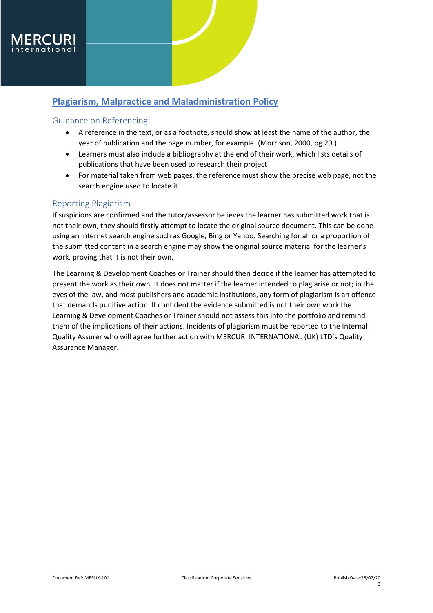### <span id="page-2-0"></span>Guidance on Referencing

- A reference in the text, or as a footnote, should show at least the name of the author, the year of publication and the page number, for example: (Morrison, 2000, pg.29.)
- Learners must also include a bibliography at the end of their work, which lists details of publications that have been used to research their project
- For material taken from web pages, the reference must show the precise web page, not the search engine used to locate it.

#### <span id="page-2-1"></span>Reporting Plagiarism

If suspicions are confirmed and the tutor/assessor believes the learner has submitted work that is not their own, they should firstly attempt to locate the original source document. This can be done using an internet search engine such as Google, Bing or Yahoo. Searching for all or a proportion of the submitted content in a search engine may show the original source material for the learner's work, proving that it is not their own.

The Learning & Development Coaches or Trainer should then decide if the learner has attempted to present the work as their own. It does not matter if the learner intended to plagiarise or not; in the eyes of the law, and most publishers and academic institutions, any form of plagiarism is an offence that demands punitive action. If confident the evidence submitted is not their own work the Learning & Development Coaches or Trainer should not assess this into the portfolio and remind them of the implications of their actions. Incidents of plagiarism must be reported to the Internal Quality Assurer who will agree further action with MERCURI INTERNATIONAL (UK) LTD's Quality Assurance Manager.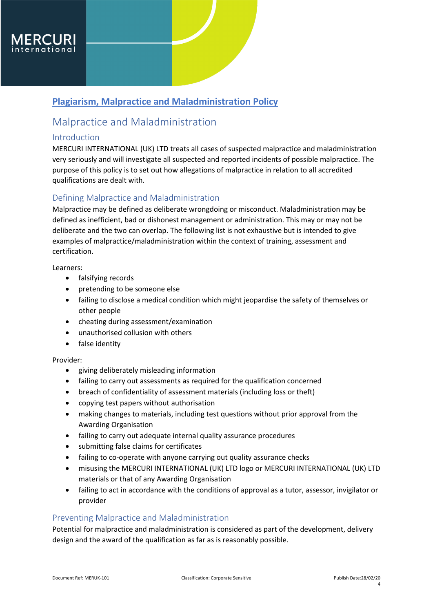

## <span id="page-3-0"></span>Malpractice and Maladministration

### <span id="page-3-1"></span>Introduction

MERCURI INTERNATIONAL (UK) LTD treats all cases of suspected malpractice and maladministration very seriously and will investigate all suspected and reported incidents of possible malpractice. The purpose of this policy is to set out how allegations of malpractice in relation to all accredited qualifications are dealt with.

### <span id="page-3-2"></span>Defining Malpractice and Maladministration

Malpractice may be defined as deliberate wrongdoing or misconduct. Maladministration may be defined as inefficient, bad or dishonest management or administration. This may or may not be deliberate and the two can overlap. The following list is not exhaustive but is intended to give examples of malpractice/maladministration within the context of training, assessment and certification.

Learners:

- falsifying records
- pretending to be someone else
- failing to disclose a medical condition which might jeopardise the safety of themselves or other people
- cheating during assessment/examination
- unauthorised collusion with others
- false identity

#### Provider:

- giving deliberately misleading information
- failing to carry out assessments as required for the qualification concerned
- breach of confidentiality of assessment materials (including loss or theft)
- copying test papers without authorisation
- making changes to materials, including test questions without prior approval from the Awarding Organisation
- failing to carry out adequate internal quality assurance procedures
- submitting false claims for certificates
- failing to co-operate with anyone carrying out quality assurance checks
- misusing the MERCURI INTERNATIONAL (UK) LTD logo or MERCURI INTERNATIONAL (UK) LTD materials or that of any Awarding Organisation
- failing to act in accordance with the conditions of approval as a tutor, assessor, invigilator or provider

### <span id="page-3-3"></span>Preventing Malpractice and Maladministration

Potential for malpractice and maladministration is considered as part of the development, delivery design and the award of the qualification as far as is reasonably possible.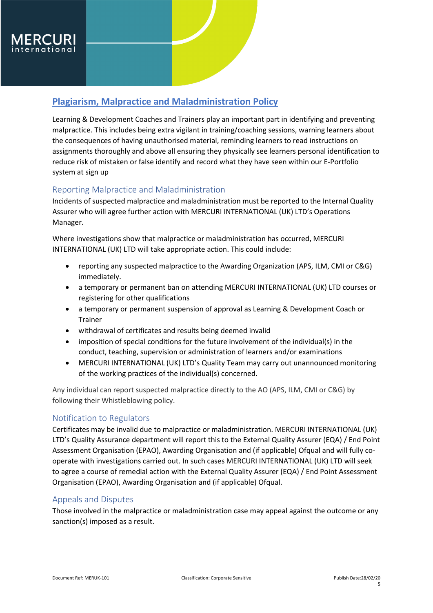

Learning & Development Coaches and Trainers play an important part in identifying and preventing malpractice. This includes being extra vigilant in training/coaching sessions, warning learners about the consequences of having unauthorised material, reminding learners to read instructions on assignments thoroughly and above all ensuring they physically see learners personal identification to reduce risk of mistaken or false identify and record what they have seen within our E-Portfolio system at sign up

### <span id="page-4-0"></span>Reporting Malpractice and Maladministration

Incidents of suspected malpractice and maladministration must be reported to the Internal Quality Assurer who will agree further action with MERCURI INTERNATIONAL (UK) LTD's Operations Manager.

Where investigations show that malpractice or maladministration has occurred, MERCURI INTERNATIONAL (UK) LTD will take appropriate action. This could include:

- reporting any suspected malpractice to the Awarding Organization (APS, ILM, CMI or C&G) immediately.
- a temporary or permanent ban on attending MERCURI INTERNATIONAL (UK) LTD courses or registering for other qualifications
- a temporary or permanent suspension of approval as Learning & Development Coach or Trainer
- withdrawal of certificates and results being deemed invalid
- imposition of special conditions for the future involvement of the individual(s) in the conduct, teaching, supervision or administration of learners and/or examinations
- MERCURI INTERNATIONAL (UK) LTD's Quality Team may carry out unannounced monitoring of the working practices of the individual(s) concerned.

Any individual can report suspected malpractice directly to the AO (APS, ILM, CMI or C&G) by following their Whistleblowing policy.

### <span id="page-4-1"></span>Notification to Regulators

Certificates may be invalid due to malpractice or maladministration. MERCURI INTERNATIONAL (UK) LTD's Quality Assurance department will report this to the External Quality Assurer (EQA) / End Point Assessment Organisation (EPAO), Awarding Organisation and (if applicable) Ofqual and will fully cooperate with investigations carried out. In such cases MERCURI INTERNATIONAL (UK) LTD will seek to agree a course of remedial action with the External Quality Assurer (EQA) / End Point Assessment Organisation (EPAO), Awarding Organisation and (if applicable) Ofqual.

#### <span id="page-4-2"></span>Appeals and Disputes

Those involved in the malpractice or maladministration case may appeal against the outcome or any sanction(s) imposed as a result.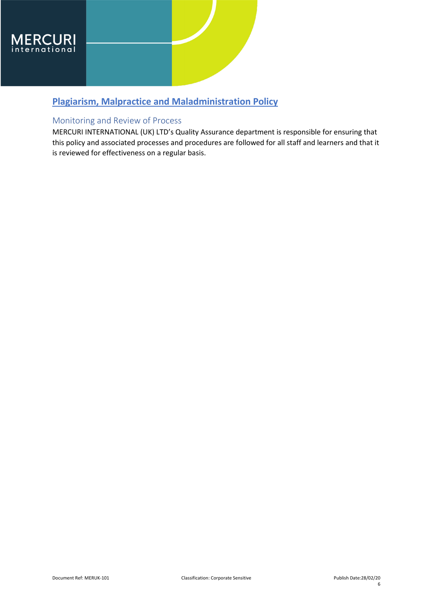

### <span id="page-5-0"></span>Monitoring and Review of Process

MERCURI INTERNATIONAL (UK) LTD's Quality Assurance department is responsible for ensuring that this policy and associated processes and procedures are followed for all staff and learners and that it is reviewed for effectiveness on a regular basis.